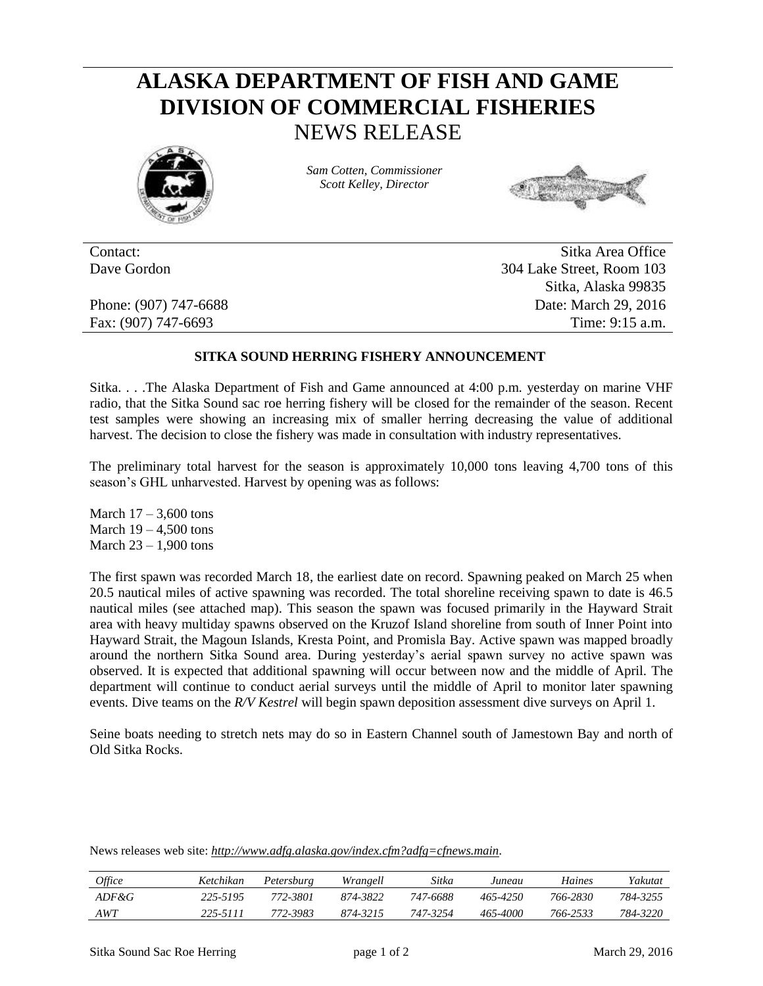## **ALASKA DEPARTMENT OF FISH AND GAME DIVISION OF COMMERCIAL FISHERIES** NEWS RELEASE



*Sam Cotten, Commissioner Scott Kelley, Director*



Contact: Sitka Area Office Dave Gordon 304 Lake Street, Room 103 Sitka, Alaska 99835 Phone: (907) 747-6688 Date: March 29, 2016 Fax: (907) 747-6693 Time: 9:15 a.m.

## **SITKA SOUND HERRING FISHERY ANNOUNCEMENT**

Sitka. . . .The Alaska Department of Fish and Game announced at 4:00 p.m. yesterday on marine VHF radio, that the Sitka Sound sac roe herring fishery will be closed for the remainder of the season. Recent test samples were showing an increasing mix of smaller herring decreasing the value of additional harvest. The decision to close the fishery was made in consultation with industry representatives.

The preliminary total harvest for the season is approximately 10,000 tons leaving 4,700 tons of this season's GHL unharvested. Harvest by opening was as follows:

March  $17 - 3,600$  tons March  $19 - 4.500$  tons March 23 – 1,900 tons

The first spawn was recorded March 18, the earliest date on record. Spawning peaked on March 25 when 20.5 nautical miles of active spawning was recorded. The total shoreline receiving spawn to date is 46.5 nautical miles (see attached map). This season the spawn was focused primarily in the Hayward Strait area with heavy multiday spawns observed on the Kruzof Island shoreline from south of Inner Point into Hayward Strait, the Magoun Islands, Kresta Point, and Promisla Bay. Active spawn was mapped broadly around the northern Sitka Sound area. During yesterday's aerial spawn survey no active spawn was observed. It is expected that additional spawning will occur between now and the middle of April. The department will continue to conduct aerial surveys until the middle of April to monitor later spawning events. Dive teams on the *R/V Kestrel* will begin spawn deposition assessment dive surveys on April 1.

Seine boats needing to stretch nets may do so in Eastern Channel south of Jamestown Bay and north of Old Sitka Rocks.

News releases web site: *http://www.adfg.alaska.gov/index.cfm?adfg=cfnews.main.*

| <i>Office</i> | Ketchikan | Petersburg | Wrangell | Sitka    | Juneau   | Haines   | Yakutat  |
|---------------|-----------|------------|----------|----------|----------|----------|----------|
| $ADF\&G$      | 225-5195  | 772-3801   | 874-3822 | 747-6688 | 465-4250 | 766-2830 | 784-3255 |
| AWT           | 225-5111  | 772-3983   | 874-3215 | 747-3254 | 465-4000 | 766-2533 | 784-3220 |